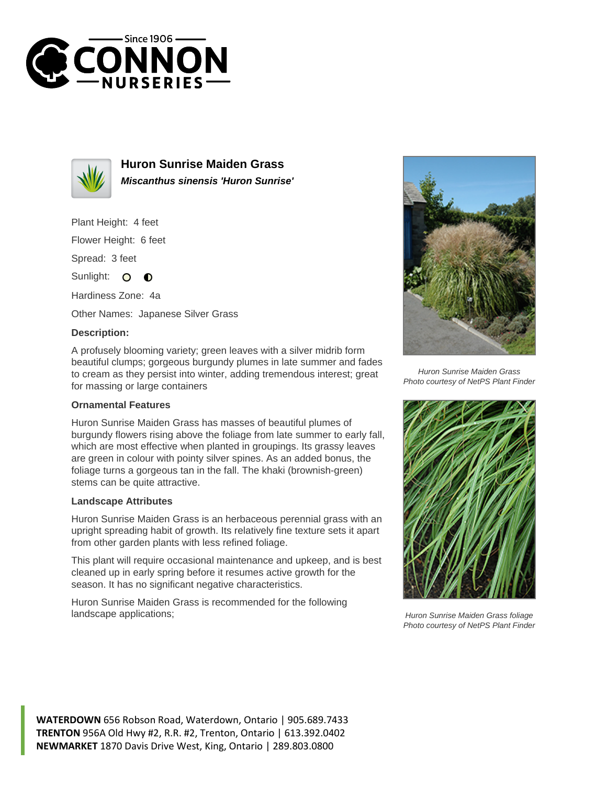



**Huron Sunrise Maiden Grass Miscanthus sinensis 'Huron Sunrise'**

Plant Height: 4 feet

Flower Height: 6 feet

Spread: 3 feet

Sunlight: O O

Hardiness Zone: 4a

Other Names: Japanese Silver Grass

## **Description:**

A profusely blooming variety; green leaves with a silver midrib form beautiful clumps; gorgeous burgundy plumes in late summer and fades to cream as they persist into winter, adding tremendous interest; great for massing or large containers

## **Ornamental Features**

Huron Sunrise Maiden Grass has masses of beautiful plumes of burgundy flowers rising above the foliage from late summer to early fall, which are most effective when planted in groupings. Its grassy leaves are green in colour with pointy silver spines. As an added bonus, the foliage turns a gorgeous tan in the fall. The khaki (brownish-green) stems can be quite attractive.

## **Landscape Attributes**

Huron Sunrise Maiden Grass is an herbaceous perennial grass with an upright spreading habit of growth. Its relatively fine texture sets it apart from other garden plants with less refined foliage.

This plant will require occasional maintenance and upkeep, and is best cleaned up in early spring before it resumes active growth for the season. It has no significant negative characteristics.

Huron Sunrise Maiden Grass is recommended for the following landscape applications;



Huron Sunrise Maiden Grass Photo courtesy of NetPS Plant Finder



Huron Sunrise Maiden Grass foliage Photo courtesy of NetPS Plant Finder

**WATERDOWN** 656 Robson Road, Waterdown, Ontario | 905.689.7433 **TRENTON** 956A Old Hwy #2, R.R. #2, Trenton, Ontario | 613.392.0402 **NEWMARKET** 1870 Davis Drive West, King, Ontario | 289.803.0800